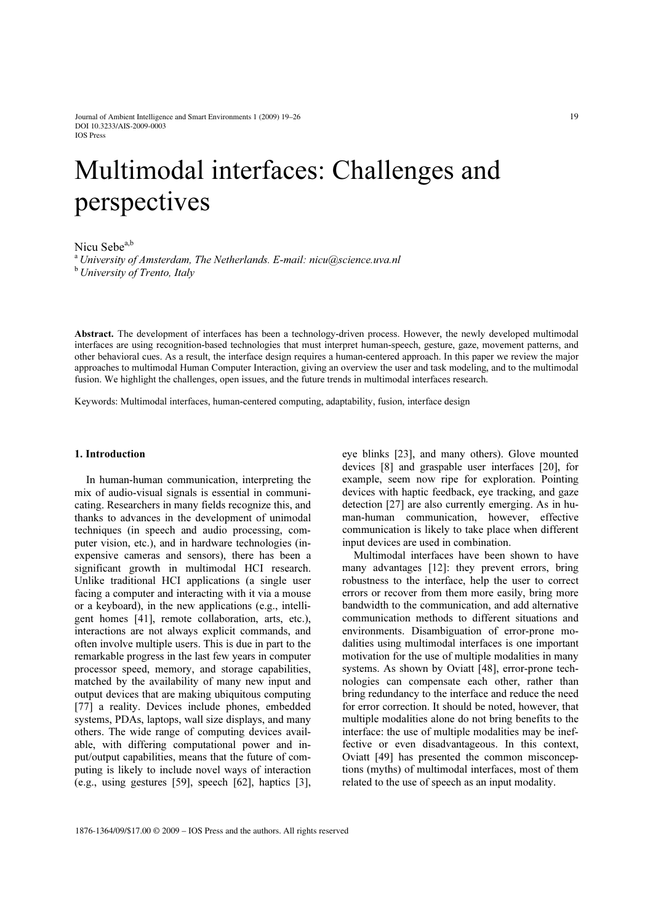Journal of Ambient Intelligence and Smart Environments 1 (2009) 19–26 DOI 10.3233/AIS-2009-0003 IOS Press

# Multimodal interfaces: Challenges and perspectives

Nicu Sebe<sup>a,b</sup>

<sup>a</sup> University of Amsterdam, The Netherlands. E-mail: nicu@science.uva.nl  $<sup>b</sup> University of Trento, Italy$ </sup>

Abstract. The development of interfaces has been a technology-driven process. However, the newly developed multimodal interfaces are using recognition-based technologies that must interpret human-speech, gesture, gaze, movement patterns, and other behavioral cues. As a result, the interface design requires a human-centered approach. In this paper we review the major approaches to multimodal Human Computer Interaction, giving an overview the user and task modeling, and to the multimodal fusion. We highlight the challenges, open issues, and the future trends in multimodal interfaces research.

Keywords: Multimodal interfaces, human-centered computing, adaptability, fusion, interface design

## 1. Introduction

In human-human communication, interpreting the mix of audio-visual signals is essential in communicating. Researchers in many fields recognize this, and thanks to advances in the development of unimodal techniques (in speech and audio processing, computer vision, etc.), and in hardware technologies (inexpensive cameras and sensors), there has been a significant growth in multimodal HCI research. Unlike traditional HCI applications (a single user facing a computer and interacting with it via a mouse or a keyboard), in the new applications (e.g., intelligent homes [41], remote collaboration, arts, etc.), interactions are not always explicit commands, and often involve multiple users. This is due in part to the remarkable progress in the last few years in computer processor speed, memory, and storage capabilities, matched by the availability of many new input and output devices that are making ubiquitous computing [77] a reality. Devices include phones, embedded systems, PDAs, laptops, wall size displays, and many others. The wide range of computing devices available, with differing computational power and input/output capabilities, means that the future of computing is likely to include novel ways of interaction (e.g., using gestures [59], speech [62], haptics [3], eye blinks [23], and many others). Glove mounted devices [8] and graspable user interfaces [20], for example, seem now ripe for exploration. Pointing devices with haptic feedback, eye tracking, and gaze detection [27] are also currently emerging. As in human-human communication, however, effective communication is likely to take place when different input devices are used in combination.

Multimodal interfaces have been shown to have many advantages [12]: they prevent errors, bring robustness to the interface, help the user to correct errors or recover from them more easily, bring more bandwidth to the communication, and add alternative communication methods to different situations and environments. Disambiguation of error-prone modalities using multimodal interfaces is one important motivation for the use of multiple modalities in many systems. As shown by Oviatt [48], error-prone technologies can compensate each other, rather than bring redundancy to the interface and reduce the need for error correction. It should be noted, however, that multiple modalities alone do not bring benefits to the interface: the use of multiple modalities may be ineffective or even disadvantageous. In this context, Oviatt [49] has presented the common misconceptions (myths) of multimodal interfaces, most of them related to the use of speech as an input modality.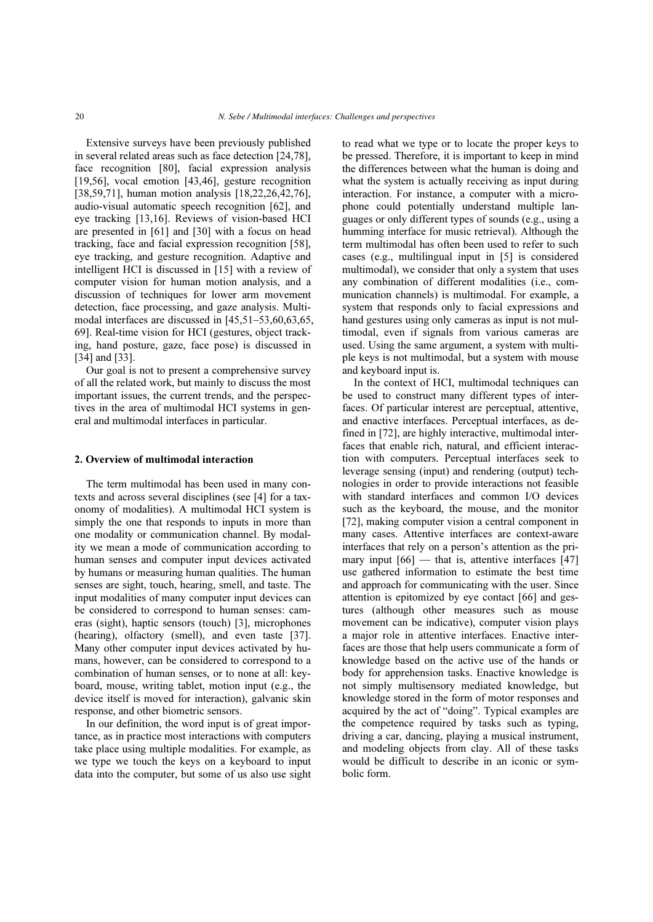Extensive surveys have been previously published in several related areas such as face detection [24,78], face recognition [80], facial expression analysis [19,56], vocal emotion [43,46], gesture recognition [38,59,71], human motion analysis [18,22,26,42,76], audio-visual automatic speech recognition [62], and eye tracking [13,16]. Reviews of vision-based HCI are presented in [61] and [30] with a focus on head tracking, face and facial expression recognition [58], eye tracking, and gesture recognition. Adaptive and intelligent HCI is discussed in [15] with a review of computer vision for human motion analysis, and a discussion of techniques for lower arm movement detection, face processing, and gaze analysis. Multimodal interfaces are discussed in [45,51–53,60,63,65, 69]. Real-time vision for HCI (gestures, object tracking, hand posture, gaze, face pose) is discussed in [34] and [33].

Our goal is not to present a comprehensive survey of all the related work, but mainly to discuss the most important issues, the current trends, and the perspectives in the area of multimodal HCI systems in general and multimodal interfaces in particular.

## 2. Overview of multimodal interaction

The term multimodal has been used in many contexts and across several disciplines (see [4] for a taxonomy of modalities). A multimodal HCI system is simply the one that responds to inputs in more than one modality or communication channel. By modality we mean a mode of communication according to human senses and computer input devices activated by humans or measuring human qualities. The human senses are sight, touch, hearing, smell, and taste. The input modalities of many computer input devices can be considered to correspond to human senses: cameras (sight), haptic sensors (touch) [3], microphones (hearing), olfactory (smell), and even taste [37]. Many other computer input devices activated by humans, however, can be considered to correspond to a combination of human senses, or to none at all: keyboard, mouse, writing tablet, motion input (e.g., the device itself is moved for interaction), galvanic skin response, and other biometric sensors.

In our definition, the word input is of great importance, as in practice most interactions with computers take place using multiple modalities. For example, as we type we touch the keys on a keyboard to input data into the computer, but some of us also use sight to read what we type or to locate the proper keys to be pressed. Therefore, it is important to keep in mind the differences between what the human is doing and what the system is actually receiving as input during interaction. For instance, a computer with a microphone could potentially understand multiple languages or only different types of sounds (e.g., using a humming interface for music retrieval). Although the term multimodal has often been used to refer to such cases (e.g., multilingual input in [5] is considered multimodal), we consider that only a system that uses any combination of different modalities (i.e., communication channels) is multimodal. For example, a system that responds only to facial expressions and hand gestures using only cameras as input is not multimodal, even if signals from various cameras are used. Using the same argument, a system with multiple keys is not multimodal, but a system with mouse and keyboard input is.

In the context of HCI, multimodal techniques can be used to construct many different types of interfaces. Of particular interest are perceptual, attentive, and enactive interfaces. Perceptual interfaces, as defined in [72], are highly interactive, multimodal interfaces that enable rich, natural, and efficient interaction with computers. Perceptual interfaces seek to leverage sensing (input) and rendering (output) technologies in order to provide interactions not feasible with standard interfaces and common I/O devices such as the keyboard, the mouse, and the monitor [72], making computer vision a central component in many cases. Attentive interfaces are context-aware interfaces that rely on a person's attention as the primary input  $[66]$  — that is, attentive interfaces  $[47]$ use gathered information to estimate the best time and approach for communicating with the user. Since attention is epitomized by eye contact [66] and gestures (although other measures such as mouse movement can be indicative), computer vision plays a major role in attentive interfaces. Enactive interfaces are those that help users communicate a form of knowledge based on the active use of the hands or body for apprehension tasks. Enactive knowledge is not simply multisensory mediated knowledge, but knowledge stored in the form of motor responses and acquired by the act of "doing". Typical examples are the competence required by tasks such as typing, driving a car, dancing, playing a musical instrument, and modeling objects from clay. All of these tasks would be difficult to describe in an iconic or symbolic form.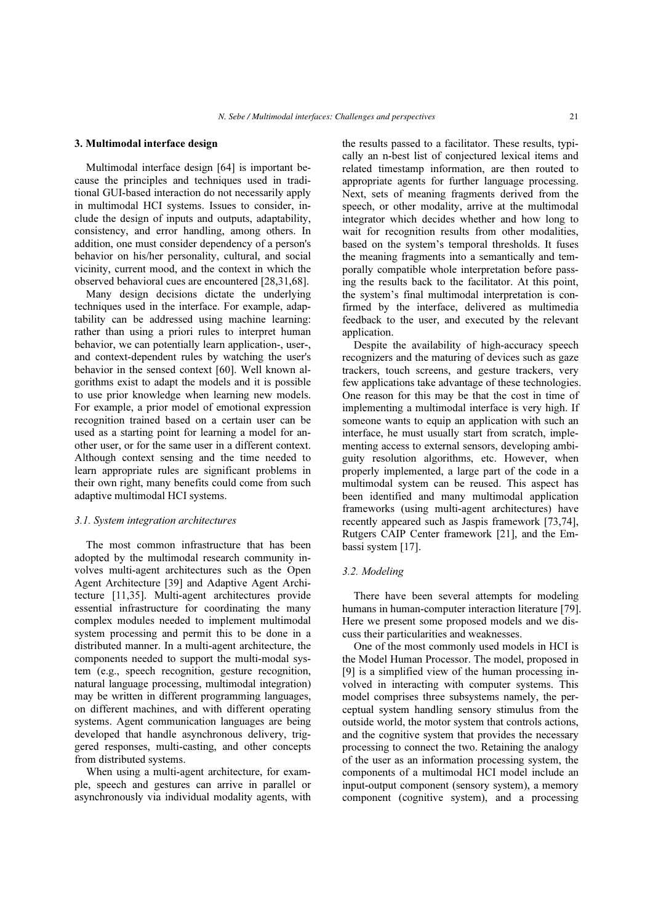# 3. Multimodal interface design

Multimodal interface design [64] is important because the principles and techniques used in traditional GUI-based interaction do not necessarily apply in multimodal HCI systems. Issues to consider, include the design of inputs and outputs, adaptability, consistency, and error handling, among others. In addition, one must consider dependency of a person's behavior on his/her personality, cultural, and social vicinity, current mood, and the context in which the observed behavioral cues are encountered [28,31,68].

Many design decisions dictate the underlying techniques used in the interface. For example, adaptability can be addressed using machine learning: rather than using a priori rules to interpret human behavior, we can potentially learn application-, user-, and context-dependent rules by watching the user's behavior in the sensed context [60]. Well known algorithms exist to adapt the models and it is possible to use prior knowledge when learning new models. For example, a prior model of emotional expression recognition trained based on a certain user can be used as a starting point for learning a model for another user, or for the same user in a different context. Although context sensing and the time needed to learn appropriate rules are significant problems in their own right, many benefits could come from such adaptive multimodal HCI systems.

# 3.1. System integration architectures

The most common infrastructure that has been adopted by the multimodal research community involves multi-agent architectures such as the Open Agent Architecture [39] and Adaptive Agent Architecture [11,35]. Multi-agent architectures provide essential infrastructure for coordinating the many complex modules needed to implement multimodal system processing and permit this to be done in a distributed manner. In a multi-agent architecture, the components needed to support the multi-modal system (e.g., speech recognition, gesture recognition, natural language processing, multimodal integration) may be written in different programming languages, on different machines, and with different operating systems. Agent communication languages are being developed that handle asynchronous delivery, triggered responses, multi-casting, and other concepts from distributed systems.

When using a multi-agent architecture, for example, speech and gestures can arrive in parallel or asynchronously via individual modality agents, with the results passed to a facilitator. These results, typically an n-best list of conjectured lexical items and related timestamp information, are then routed to appropriate agents for further language processing. Next, sets of meaning fragments derived from the speech, or other modality, arrive at the multimodal integrator which decides whether and how long to wait for recognition results from other modalities, based on the system's temporal thresholds. It fuses the meaning fragments into a semantically and temporally compatible whole interpretation before passing the results back to the facilitator. At this point, the system's final multimodal interpretation is confirmed by the interface, delivered as multimedia feedback to the user, and executed by the relevant application.

Despite the availability of high-accuracy speech recognizers and the maturing of devices such as gaze trackers, touch screens, and gesture trackers, very few applications take advantage of these technologies. One reason for this may be that the cost in time of implementing a multimodal interface is very high. If someone wants to equip an application with such an interface, he must usually start from scratch, implementing access to external sensors, developing ambiguity resolution algorithms, etc. However, when properly implemented, a large part of the code in a multimodal system can be reused. This aspect has been identified and many multimodal application frameworks (using multi-agent architectures) have recently appeared such as Jaspis framework [73,74], Rutgers CAIP Center framework [21], and the Embassi system [17].

## 3.2. Modeling

There have been several attempts for modeling humans in human-computer interaction literature [79]. Here we present some proposed models and we discuss their particularities and weaknesses.

One of the most commonly used models in HCI is the Model Human Processor. The model, proposed in [9] is a simplified view of the human processing involved in interacting with computer systems. This model comprises three subsystems namely, the perceptual system handling sensory stimulus from the outside world, the motor system that controls actions, and the cognitive system that provides the necessary processing to connect the two. Retaining the analogy of the user as an information processing system, the components of a multimodal HCI model include an input-output component (sensory system), a memory component (cognitive system), and a processing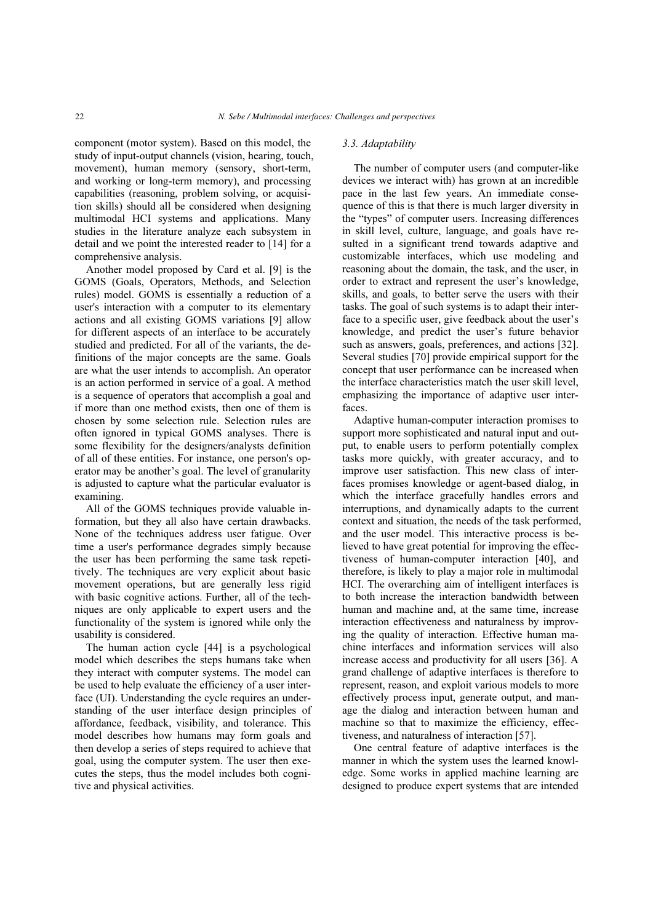component (motor system). Based on this model, the study of input-output channels (vision, hearing, touch, movement), human memory (sensory, short-term, and working or long-term memory), and processing capabilities (reasoning, problem solving, or acquisition skills) should all be considered when designing multimodal HCI systems and applications. Many studies in the literature analyze each subsystem in detail and we point the interested reader to [14] for a comprehensive analysis.

Another model proposed by Card et al. [9] is the GOMS (Goals, Operators, Methods, and Selection rules) model. GOMS is essentially a reduction of a user's interaction with a computer to its elementary actions and all existing GOMS variations [9] allow for different aspects of an interface to be accurately studied and predicted. For all of the variants, the definitions of the major concepts are the same. Goals are what the user intends to accomplish. An operator is an action performed in service of a goal. A method is a sequence of operators that accomplish a goal and if more than one method exists, then one of them is chosen by some selection rule. Selection rules are often ignored in typical GOMS analyses. There is some flexibility for the designers/analysts definition of all of these entities. For instance, one person's operator may be another's goal. The level of granularity is adjusted to capture what the particular evaluator is examining.

All of the GOMS techniques provide valuable information, but they all also have certain drawbacks. None of the techniques address user fatigue. Over time a user's performance degrades simply because the user has been performing the same task repetitively. The techniques are very explicit about basic movement operations, but are generally less rigid with basic cognitive actions. Further, all of the techniques are only applicable to expert users and the functionality of the system is ignored while only the usability is considered.

The human action cycle [44] is a psychological model which describes the steps humans take when they interact with computer systems. The model can be used to help evaluate the efficiency of a user interface (UI). Understanding the cycle requires an understanding of the user interface design principles of affordance, feedback, visibility, and tolerance. This model describes how humans may form goals and then develop a series of steps required to achieve that goal, using the computer system. The user then executes the steps, thus the model includes both cognitive and physical activities.

#### 3.3. Adaptability

The number of computer users (and computer-like devices we interact with) has grown at an incredible pace in the last few years. An immediate consequence of this is that there is much larger diversity in the "types" of computer users. Increasing differences in skill level, culture, language, and goals have resulted in a significant trend towards adaptive and customizable interfaces, which use modeling and reasoning about the domain, the task, and the user, in order to extract and represent the user's knowledge, skills, and goals, to better serve the users with their tasks. The goal of such systems is to adapt their interface to a specific user, give feedback about the user's knowledge, and predict the user's future behavior such as answers, goals, preferences, and actions [32]. Several studies [70] provide empirical support for the concept that user performance can be increased when the interface characteristics match the user skill level, emphasizing the importance of adaptive user interfaces.

Adaptive human-computer interaction promises to support more sophisticated and natural input and output, to enable users to perform potentially complex tasks more quickly, with greater accuracy, and to improve user satisfaction. This new class of interfaces promises knowledge or agent-based dialog, in which the interface gracefully handles errors and interruptions, and dynamically adapts to the current context and situation, the needs of the task performed, and the user model. This interactive process is believed to have great potential for improving the effectiveness of human-computer interaction [40], and therefore, is likely to play a major role in multimodal HCI. The overarching aim of intelligent interfaces is to both increase the interaction bandwidth between human and machine and, at the same time, increase interaction effectiveness and naturalness by improving the quality of interaction. Effective human machine interfaces and information services will also increase access and productivity for all users [36]. A grand challenge of adaptive interfaces is therefore to represent, reason, and exploit various models to more effectively process input, generate output, and manage the dialog and interaction between human and machine so that to maximize the efficiency, effectiveness, and naturalness of interaction [57].

One central feature of adaptive interfaces is the manner in which the system uses the learned knowledge. Some works in applied machine learning are designed to produce expert systems that are intended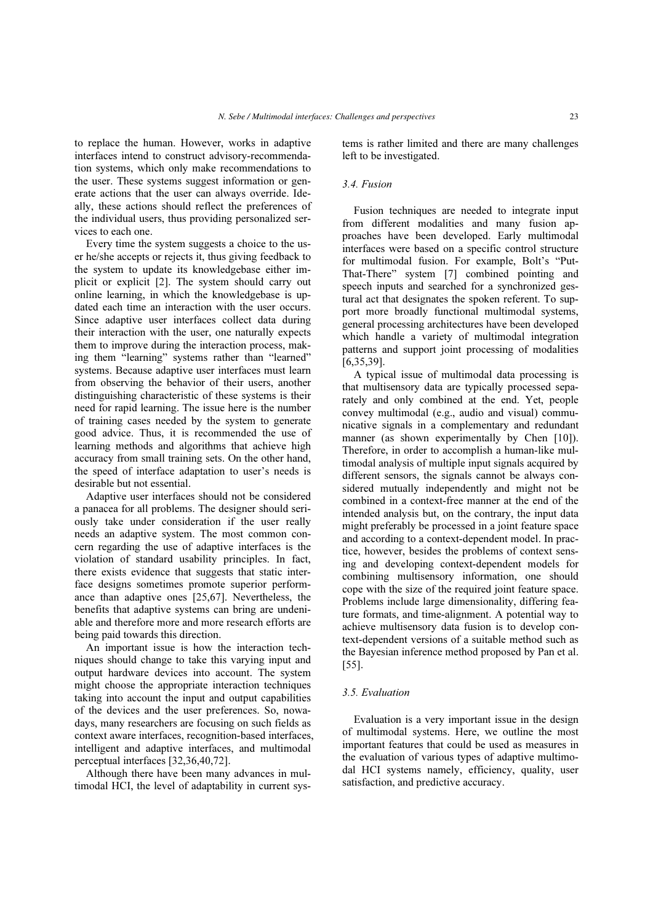to replace the human. However, works in adaptive interfaces intend to construct advisory-recommendation systems, which only make recommendations to the user. These systems suggest information or generate actions that the user can always override. Ideally, these actions should reflect the preferences of the individual users, thus providing personalized services to each one.

Every time the system suggests a choice to the user he/she accepts or rejects it, thus giving feedback to the system to update its knowledgebase either implicit or explicit [2]. The system should carry out online learning, in which the knowledgebase is updated each time an interaction with the user occurs. Since adaptive user interfaces collect data during their interaction with the user, one naturally expects them to improve during the interaction process, making them "learning" systems rather than "learned" systems. Because adaptive user interfaces must learn from observing the behavior of their users, another distinguishing characteristic of these systems is their need for rapid learning. The issue here is the number of training cases needed by the system to generate good advice. Thus, it is recommended the use of learning methods and algorithms that achieve high accuracy from small training sets. On the other hand, the speed of interface adaptation to user's needs is desirable but not essential.

Adaptive user interfaces should not be considered a panacea for all problems. The designer should seriously take under consideration if the user really needs an adaptive system. The most common concern regarding the use of adaptive interfaces is the violation of standard usability principles. In fact, there exists evidence that suggests that static interface designs sometimes promote superior performance than adaptive ones [25,67]. Nevertheless, the benefits that adaptive systems can bring are undeniable and therefore more and more research efforts are being paid towards this direction.

An important issue is how the interaction techniques should change to take this varying input and output hardware devices into account. The system might choose the appropriate interaction techniques taking into account the input and output capabilities of the devices and the user preferences. So, nowadays, many researchers are focusing on such fields as context aware interfaces, recognition-based interfaces, intelligent and adaptive interfaces, and multimodal perceptual interfaces [32,36,40,72].

Although there have been many advances in multimodal HCI, the level of adaptability in current systems is rather limited and there are many challenges left to be investigated.

# 3.4. Fusion

Fusion techniques are needed to integrate input from different modalities and many fusion approaches have been developed. Early multimodal interfaces were based on a specific control structure for multimodal fusion. For example, Bolt's "Put-That-There" system [7] combined pointing and speech inputs and searched for a synchronized gestural act that designates the spoken referent. To support more broadly functional multimodal systems, general processing architectures have been developed which handle a variety of multimodal integration patterns and support joint processing of modalities [6,35,39].

A typical issue of multimodal data processing is that multisensory data are typically processed separately and only combined at the end. Yet, people convey multimodal (e.g., audio and visual) communicative signals in a complementary and redundant manner (as shown experimentally by Chen [10]). Therefore, in order to accomplish a human-like multimodal analysis of multiple input signals acquired by different sensors, the signals cannot be always considered mutually independently and might not be combined in a context-free manner at the end of the intended analysis but, on the contrary, the input data might preferably be processed in a joint feature space and according to a context-dependent model. In practice, however, besides the problems of context sensing and developing context-dependent models for combining multisensory information, one should cope with the size of the required joint feature space. Problems include large dimensionality, differing feature formats, and time-alignment. A potential way to achieve multisensory data fusion is to develop context-dependent versions of a suitable method such as the Bayesian inference method proposed by Pan et al. [55].

# 3.5. Evaluation

Evaluation is a very important issue in the design of multimodal systems. Here, we outline the most important features that could be used as measures in the evaluation of various types of adaptive multimodal HCI systems namely, efficiency, quality, user satisfaction, and predictive accuracy.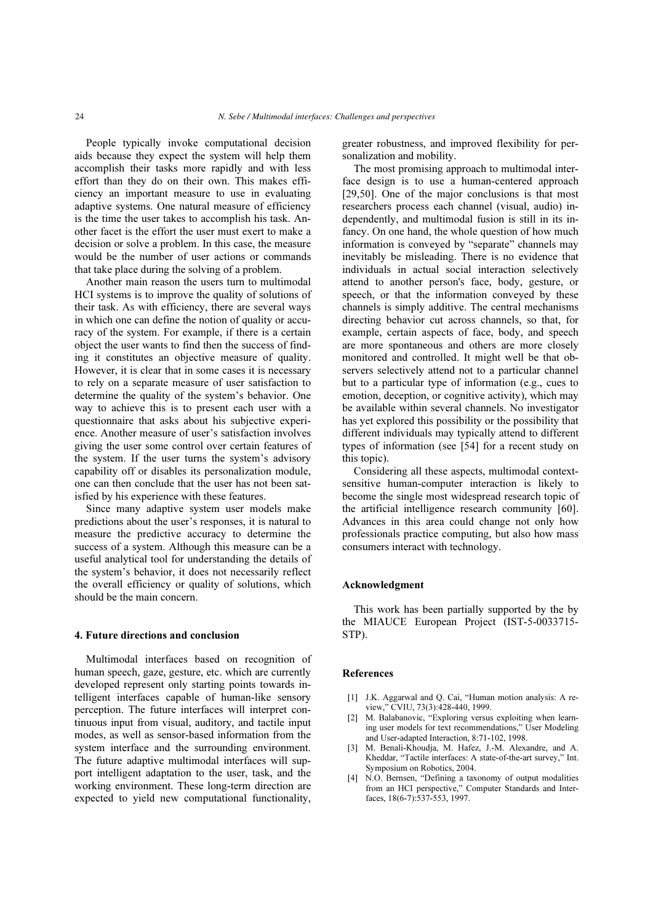People typically invoke computational decision aids because they expect the system will help them accomplish their tasks more rapidly and with less effort than they do on their own. This makes efficiency an important measure to use in evaluating adaptive systems. One natural measure of efficiency is the time the user takes to accomplish his task. Another facet is the effort the user must exert to make a decision or solve a problem. In this case, the measure would be the number of user actions or commands that take place during the solving of a problem.

Another main reason the users turn to multimodal HCI systems is to improve the quality of solutions of their task. As with efficiency, there are several ways in which one can define the notion of quality or accuracy of the system. For example, if there is a certain object the user wants to find then the success of finding it constitutes an objective measure of quality. However, it is clear that in some cases it is necessary to rely on a separate measure of user satisfaction to determine the quality of the system's behavior. One way to achieve this is to present each user with a questionnaire that asks about his subjective experience. Another measure of user's satisfaction involves giving the user some control over certain features of the system. If the user turns the system's advisory capability off or disables its personalization module, one can then conclude that the user has not been satisfied by his experience with these features.

Since many adaptive system user models make predictions about the user's responses, it is natural to measure the predictive accuracy to determine the success of a system. Although this measure can be a useful analytical tool for understanding the details of the system's behavior, it does not necessarily reflect the overall efficiency or quality of solutions, which should be the main concern.

#### 4. Future directions and conclusion

Multimodal interfaces based on recognition of human speech, gaze, gesture, etc. which are currently developed represent only starting points towards intelligent interfaces capable of human-like sensory perception. The future interfaces will interpret continuous input from visual, auditory, and tactile input modes, as well as sensor-based information from the system interface and the surrounding environment. The future adaptive multimodal interfaces will support intelligent adaptation to the user, task, and the working environment. These long-term direction are expected to yield new computational functionality, greater robustness, and improved flexibility for personalization and mobility.

The most promising approach to multimodal interface design is to use a human-centered approach [29,50]. One of the major conclusions is that most researchers process each channel (visual, audio) independently, and multimodal fusion is still in its infancy. On one hand, the whole question of how much information is conveyed by "separate" channels may inevitably be misleading. There is no evidence that individuals in actual social interaction selectively attend to another person's face, body, gesture, or speech, or that the information conveyed by these channels is simply additive. The central mechanisms directing behavior cut across channels, so that, for example, certain aspects of face, body, and speech are more spontaneous and others are more closely monitored and controlled. It might well be that observers selectively attend not to a particular channel but to a particular type of information (e.g., cues to emotion, deception, or cognitive activity), which may be available within several channels. No investigator has yet explored this possibility or the possibility that different individuals may typically attend to different types of information (see [54] for a recent study on this topic).

Considering all these aspects, multimodal contextsensitive human-computer interaction is likely to become the single most widespread research topic of the artificial intelligence research community [60]. Advances in this area could change not only how professionals practice computing, but also how mass consumers interact with technology.

## Acknowledgment

This work has been partially supported by the by the MIAUCE European Project (IST-5-0033715- STP).

#### References

- [1] J.K. Aggarwal and Q. Cai, "Human motion analysis: A review," CVIU, 73(3):428-440, 1999.
- [2] M. Balabanovic, "Exploring versus exploiting when learning user models for text recommendations," User Modeling and User-adapted Interaction, 8:71-102, 1998.
- [3] M. Benali-Khoudja, M. Hafez, J.-M. Alexandre, and A. Kheddar, "Tactile interfaces: A state-of-the-art survey," Int. Symposium on Robotics, 2004.
- [4] N.O. Bernsen, "Defining a taxonomy of output modalities from an HCI perspective," Computer Standards and Interfaces, 18(6-7):537-553, 1997.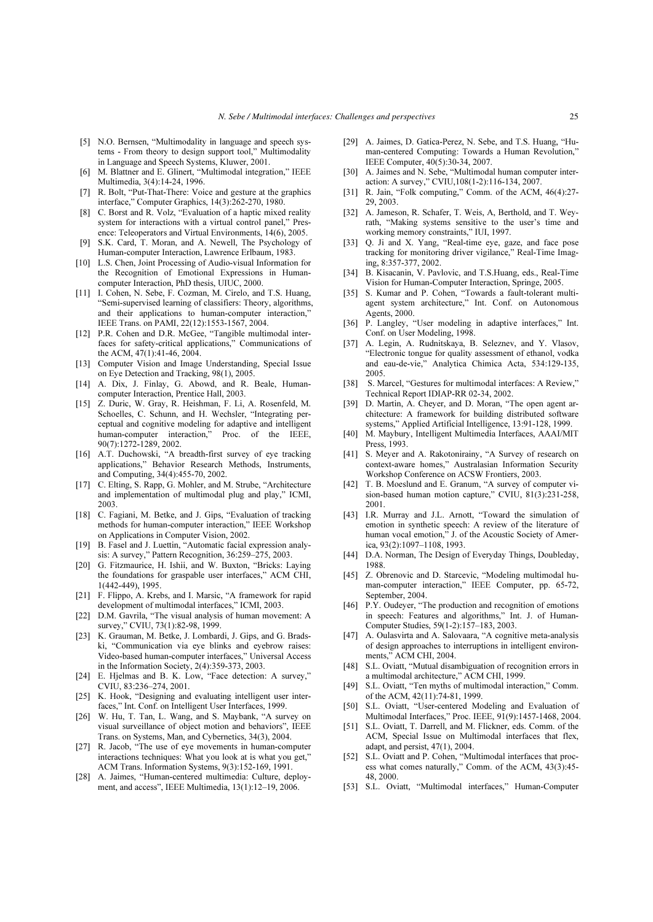- [5] N.O. Bernsen, "Multimodality in language and speech systems - From theory to design support tool," Multimodality in Language and Speech Systems, Kluwer, 2001.
- [6] M. Blattner and E. Glinert, "Multimodal integration," IEEE Multimedia, 3(4):14-24, 1996.
- [7] R. Bolt, "Put-That-There: Voice and gesture at the graphics interface," Computer Graphics, 14(3):262-270, 1980.
- [8] C. Borst and R. Volz, "Evaluation of a haptic mixed reality system for interactions with a virtual control panel," Presence: Teleoperators and Virtual Environments, 14(6), 2005.
- [9] S.K. Card, T. Moran, and A. Newell, The Psychology of Human-computer Interaction, Lawrence Erlbaum, 1983.
- [10] L.S. Chen, Joint Processing of Audio-visual Information for the Recognition of Emotional Expressions in Humancomputer Interaction, PhD thesis, UIUC, 2000.
- [11] I. Cohen, N. Sebe, F. Cozman, M. Cirelo, and T.S. Huang, "Semi-supervised learning of classifiers: Theory, algorithms, and their applications to human-computer interaction,' IEEE Trans. on PAMI, 22(12):1553-1567, 2004.
- [12] P.R. Cohen and D.R. McGee, "Tangible multimodal interfaces for safety-critical applications," Communications of the ACM, 47(1):41-46, 2004.
- [13] Computer Vision and Image Understanding, Special Issue on Eye Detection and Tracking, 98(1), 2005.
- [14] A. Dix, J. Finlay, G. Abowd, and R. Beale, Humancomputer Interaction, Prentice Hall, 2003.
- [15] Z. Duric, W. Gray, R. Heishman, F. Li, A. Rosenfeld, M. Schoelles, C. Schunn, and H. Wechsler, "Integrating perceptual and cognitive modeling for adaptive and intelligent human-computer interaction." Proc. of the IEEE, 90(7):1272-1289, 2002.
- [16] A.T. Duchowski, "A breadth-first survey of eye tracking applications," Behavior Research Methods, Instruments, and Computing, 34(4):455-70, 2002.
- [17] C. Elting, S. Rapp, G. Mohler, and M. Strube, "Architecture and implementation of multimodal plug and play," ICMI, 2003.
- [18] C. Fagiani, M. Betke, and J. Gips, "Evaluation of tracking methods for human-computer interaction," IEEE Workshop on Applications in Computer Vision, 2002.
- [19] B. Fasel and J. Luettin, "Automatic facial expression analysis: A survey," Pattern Recognition, 36:259–275, 2003.
- [20] G. Fitzmaurice, H. Ishii, and W. Buxton, "Bricks: Laying the foundations for graspable user interfaces," ACM CHI, 1(442-449), 1995.
- [21] F. Flippo, A. Krebs, and I. Marsic, "A framework for rapid development of multimodal interfaces," ICMI, 2003.
- [22] D.M. Gavrila, "The visual analysis of human movement: A survey," CVIU, 73(1):82-98, 1999.
- [23] K. Grauman, M. Betke, J. Lombardi, J. Gips, and G. Bradski, "Communication via eye blinks and eyebrow raises: Video-based human-computer interfaces," Universal Access in the Information Society, 2(4):359-373, 2003.
- [24] E. Hjelmas and B. K. Low, "Face detection: A survey," CVIU, 83:236–274, 2001.
- [25] K. Hook, "Designing and evaluating intelligent user interfaces," Int. Conf. on Intelligent User Interfaces, 1999.
- [26] W. Hu, T. Tan, L. Wang, and S. Maybank, "A survey on visual surveillance of object motion and behaviors", IEEE Trans. on Systems, Man, and Cybernetics, 34(3), 2004.
- [27] R. Jacob, "The use of eye movements in human-computer interactions techniques: What you look at is what you get," ACM Trans. Information Systems, 9(3):152-169, 1991.
- [28] A. Jaimes, "Human-centered multimedia: Culture, deployment, and access", IEEE Multimedia, 13(1):12–19, 2006.
- [29] A. Jaimes, D. Gatica-Perez, N. Sebe, and T.S. Huang, "Human-centered Computing: Towards a Human Revolution," IEEE Computer, 40(5):30-34, 2007.
- [30] A. Jaimes and N. Sebe, "Multimodal human computer interaction: A survey," CVIU,108(1-2):116-134, 2007.
- [31] R. Jain, "Folk computing," Comm. of the ACM, 46(4):27- 29, 2003.
- [32] A. Jameson, R. Schafer, T. Weis, A, Berthold, and T. Weyrath, "Making systems sensitive to the user's time and working memory constraints," IUI, 1997.
- [33] Q. Ji and X. Yang, "Real-time eye, gaze, and face pose tracking for monitoring driver vigilance," Real-Time Imaging, 8:357-377, 2002.
- [34] B. Kisacanin, V. Pavlovic, and T.S.Huang, eds., Real-Time Vision for Human-Computer Interaction, Springe, 2005.
- [35] S. Kumar and P. Cohen, "Towards a fault-tolerant multiagent system architecture," Int. Conf. on Autonomous Agents, 2000.
- [36] P. Langley, "User modeling in adaptive interfaces," Int. Conf. on User Modeling, 1998.
- [37] A. Legin, A. Rudnitskaya, B. Seleznev, and Y. Vlasov, "Electronic tongue for quality assessment of ethanol, vodka and eau-de-vie," Analytica Chimica Acta, 534:129-135, 2005.
- [38] S. Marcel, "Gestures for multimodal interfaces: A Review," Technical Report IDIAP-RR 02-34, 2002.
- [39] D. Martin, A. Chever, and D. Moran, "The open agent architecture: A framework for building distributed software systems," Applied Artificial Intelligence, 13:91-128, 1999.
- [40] M. Maybury, Intelligent Multimedia Interfaces, AAAI/MIT Press, 1993.
- [41] S. Meyer and A. Rakotonirainy, "A Survey of research on context-aware homes," Australasian Information Security Workshop Conference on ACSW Frontiers, 2003.
- [42] T. B. Moeslund and E. Granum, "A survey of computer vision-based human motion capture," CVIU, 81(3):231-258, 2001.
- [43] I.R. Murray and J.L. Arnott, "Toward the simulation of emotion in synthetic speech: A review of the literature of human vocal emotion," J. of the Acoustic Society of America, 93(2):1097–1108, 1993.
- [44] D.A. Norman, The Design of Everyday Things, Doubleday, 1988.
- [45] Z. Obrenovic and D. Starcevic, "Modeling multimodal human-computer interaction," IEEE Computer, pp. 65-72, September, 2004.
- [46] P.Y. Oudeyer, "The production and recognition of emotions in speech: Features and algorithms," Int. J. of Human-Computer Studies, 59(1-2):157–183, 2003.
- [47] A. Oulasvirta and A. Salovaara, "A cognitive meta-analysis of design approaches to interruptions in intelligent environments," ACM CHI, 2004.
- [48] S.L. Oviatt, "Mutual disambiguation of recognition errors in a multimodal architecture," ACM CHI, 1999.
- [49] S.L. Oviatt, "Ten myths of multimodal interaction," Comm. of the ACM, 42(11):74-81, 1999.
- [50] S.L. Oviatt, "User-centered Modeling and Evaluation of Multimodal Interfaces," Proc. IEEE, 91(9):1457-1468, 2004.
- [51] S.L. Oviatt, T. Darrell, and M. Flickner, eds. Comm. of the ACM, Special Issue on Multimodal interfaces that flex, adapt, and persist, 47(1), 2004.
- [52] S.L. Oviatt and P. Cohen, "Multimodal interfaces that process what comes naturally," Comm. of the ACM, 43(3):45- 48, 2000.
- [53] S.L. Oviatt, "Multimodal interfaces," Human-Computer